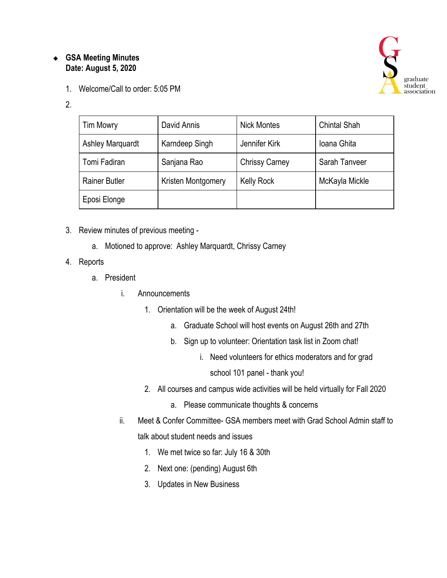# ❖ **GSA Meeting Minutes Date: August 5, 2020**

1. Welcome/Call to order: 5:05 PM

#### 2.

| <b>Tim Mowry</b>        | David Annis        | <b>Nick Montes</b>    | <b>Chintal Shah</b> |
|-------------------------|--------------------|-----------------------|---------------------|
| <b>Ashley Marquardt</b> | Karndeep Singh     | Jennifer Kirk         | Ioana Ghita         |
| Tomi Fadiran            | Sanjana Rao        | <b>Chrissy Carney</b> | Sarah Tanveer       |
| <b>Rainer Butler</b>    | Kristen Montgomery | <b>Kelly Rock</b>     | McKayla Mickle      |
| Eposi Elonge            |                    |                       |                     |

- 3. Review minutes of previous meeting
	- a. Motioned to approve: Ashley Marquardt, Chrissy Carney
- 4. Reports
	- a. President
		- i. Announcements
			- 1. Orientation will be the week of August 24th!
				- a. Graduate School will host events on August 26th and 27th
				- b. Sign up to volunteer: Orientation task list in Zoom chat!
					- i. Need volunteers for ethics moderators and for grad
						- school 101 panel thank you!
			- 2. All courses and campus wide activities will be held virtually for Fall 2020
				- a. Please communicate thoughts & concerns
		- ii. Meet & Confer Committee- GSA members meet with Grad School Admin staff to talk about student needs and issues
			- 1. We met twice so far: July 16 & 30th
			- 2. Next one: (pending) August 6th
			- 3. Updates in New Business

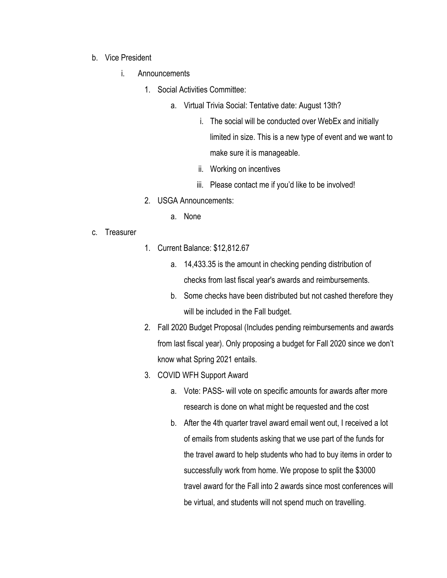- b. Vice President
	- i. Announcements
		- 1. Social Activities Committee:
			- a. Virtual Trivia Social: Tentative date: August 13th?
				- i. The social will be conducted over WebEx and initially limited in size. This is a new type of event and we want to make sure it is manageable.
				- ii. Working on incentives
				- iii. Please contact me if you'd like to be involved!
		- 2. USGA Announcements:
			- a. None
- c. Treasurer
- 1. Current Balance: \$12,812.67
	- a. 14,433.35 is the amount in checking pending distribution of checks from last fiscal year's awards and reimbursements.
	- b. Some checks have been distributed but not cashed therefore they will be included in the Fall budget.
- 2. Fall 2020 Budget Proposal (Includes pending reimbursements and awards from last fiscal year). Only proposing a budget for Fall 2020 since we don't know what Spring 2021 entails.
- 3. COVID WFH Support Award
	- a. Vote: PASS- will vote on specific amounts for awards after more research is done on what might be requested and the cost
	- b. After the 4th quarter travel award email went out, I received a lot of emails from students asking that we use part of the funds for the travel award to help students who had to buy items in order to successfully work from home. We propose to split the \$3000 travel award for the Fall into 2 awards since most conferences will be virtual, and students will not spend much on travelling.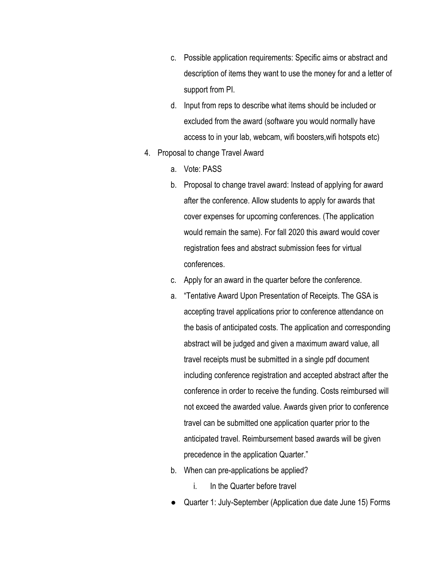- c. Possible application requirements: Specific aims or abstract and description of items they want to use the money for and a letter of support from PI.
- d. Input from reps to describe what items should be included or excluded from the award (software you would normally have access to in your lab, webcam, wifi boosters,wifi hotspots etc)
- 4. Proposal to change Travel Award
	- a. Vote: PASS
	- b. Proposal to change travel award: Instead of applying for award after the conference. Allow students to apply for awards that cover expenses for upcoming conferences. (The application would remain the same). For fall 2020 this award would cover registration fees and abstract submission fees for virtual conferences.
	- c. Apply for an award in the quarter before the conference.
	- a. "Tentative Award Upon Presentation of Receipts. The GSA is accepting travel applications prior to conference attendance on the basis of anticipated costs. The application and corresponding abstract will be judged and given a maximum award value, all travel receipts must be submitted in a single pdf document including conference registration and accepted abstract after the conference in order to receive the funding. Costs reimbursed will not exceed the awarded value. Awards given prior to conference travel can be submitted one application quarter prior to the anticipated travel. Reimbursement based awards will be given precedence in the application Quarter."
	- b. When can pre-applications be applied?
		- i. In the Quarter before travel
	- Quarter 1: July-September (Application due date June 15) Forms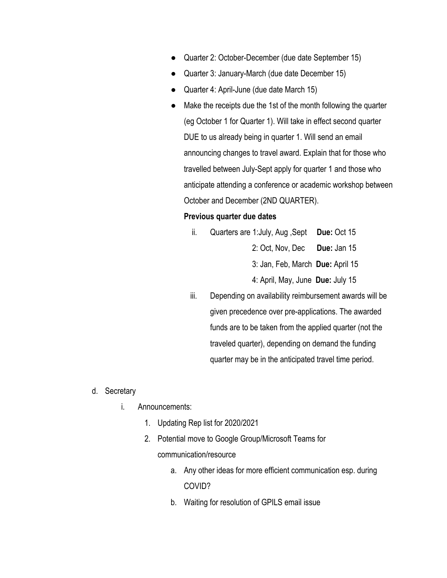- Quarter 2: October-December (due date September 15)
- Quarter 3: January-March (due date December 15)
- Quarter 4: April-June (due date March 15)
- Make the receipts due the 1st of the month following the quarter (eg October 1 for Quarter 1). Will take in effect second quarter DUE to us already being in quarter 1. Will send an email announcing changes to travel award. Explain that for those who travelled between July-Sept apply for quarter 1 and those who anticipate attending a conference or academic workshop between October and December (2ND QUARTER).

#### **Previous quarter due dates**

- ii. Quarters are 1:July, Aug ,Sept **Due:** Oct 15 2: Oct, Nov, Dec **Due:** Jan 15 3: Jan, Feb, March **Due:** April 15 4: April, May, June **Due:** July 15
- iii. Depending on availability reimbursement awards will be given precedence over pre-applications. The awarded funds are to be taken from the applied quarter (not the traveled quarter), depending on demand the funding quarter may be in the anticipated travel time period.
- d. Secretary
	- i. Announcements:
		- 1. Updating Rep list for 2020/2021
		- 2. Potential move to Google Group/Microsoft Teams for communication/resource
			- a. Any other ideas for more efficient communication esp. during COVID?
			- b. Waiting for resolution of GPILS email issue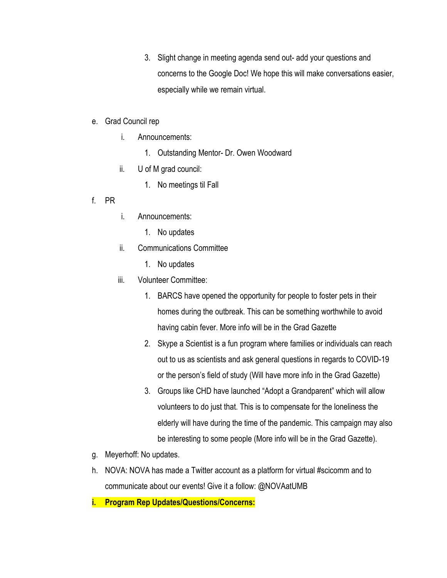3. Slight change in meeting agenda send out- add your questions and concerns to the Google Doc! We hope this will make conversations easier, especially while we remain virtual.

### e. Grad Council rep

- i. Announcements:
	- 1. Outstanding Mentor- Dr. Owen Woodward
- ii. U of M grad council:
	- 1. No meetings til Fall
- f. PR
- i. Announcements:
	- 1. No updates
- ii. Communications Committee
	- 1. No updates
- iii. Volunteer Committee:
	- 1. BARCS have opened the opportunity for people to foster pets in their homes during the outbreak. This can be something worthwhile to avoid having cabin fever. More info will be in the Grad Gazette
	- 2. Skype a Scientist is a fun program where families or individuals can reach out to us as scientists and ask general questions in regards to COVID-19 or the person's field of study (Will have more info in the Grad Gazette)
	- 3. Groups like CHD have launched "Adopt a Grandparent" which will allow volunteers to do just that. This is to compensate for the loneliness the elderly will have during the time of the pandemic. This campaign may also be interesting to some people (More info will be in the Grad Gazette).
- g. Meyerhoff: No updates.
- h. NOVA: NOVA has made a Twitter account as a platform for virtual #scicomm and to communicate about our events! Give it a follow: @NOVAatUMB
- **i. Program Rep Updates/Questions/Concerns:**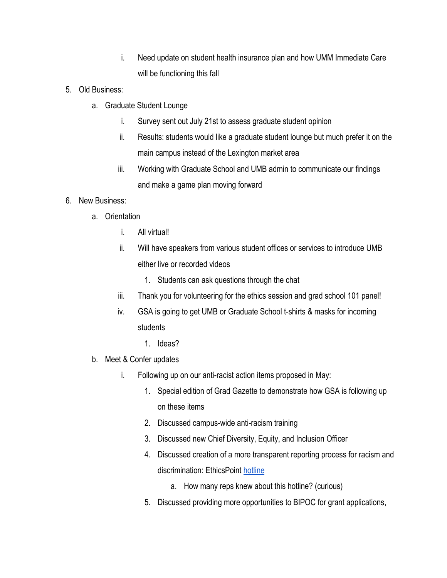- i. Need update on student health insurance plan and how UMM Immediate Care will be functioning this fall
- 5. Old Business:
	- a. Graduate Student Lounge
		- i. Survey sent out July 21st to assess graduate student opinion
		- ii. Results: students would like a graduate student lounge but much prefer it on the main campus instead of the Lexington market area
		- iii. Working with Graduate School and UMB admin to communicate our findings and make a game plan moving forward

# 6. New Business:

- a. Orientation
	- i. All virtual!
	- ii. Will have speakers from various student offices or services to introduce UMB either live or recorded videos
		- 1. Students can ask questions through the chat
	- iii. Thank you for volunteering for the ethics session and grad school 101 panel!
	- iv. GSA is going to get UMB or Graduate School t-shirts & masks for incoming students
		- 1. Ideas?
- b. Meet & Confer updates
	- i. Following up on our anti-racist action items proposed in May:
		- 1. Special edition of Grad Gazette to demonstrate how GSA is following up on these items
		- 2. Discussed campus-wide anti-racism training
		- 3. Discussed new Chief Diversity, Equity, and Inclusion Officer
		- 4. Discussed creation of a more transparent reporting process for racism and discrimination: EthicsPoint [hotline](https://www.umaryland.edu/umbhotline/)
			- a. How many reps knew about this hotline? (curious)
		- 5. Discussed providing more opportunities to BIPOC for grant applications,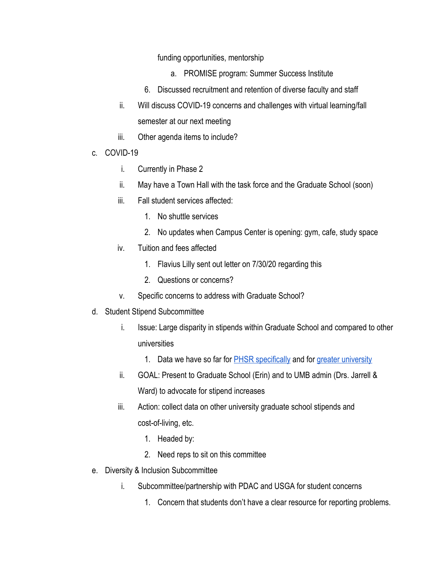funding opportunities, mentorship

- a. PROMISE program: Summer Success Institute
- 6. Discussed recruitment and retention of diverse faculty and staff
- ii. Will discuss COVID-19 concerns and challenges with virtual learning/fall semester at our next meeting
- iii. Other agenda items to include?
- c. COVID-19
	- i. Currently in Phase 2
	- ii. May have a Town Hall with the task force and the Graduate School (soon)
	- iii. Fall student services affected:
		- 1. No shuttle services
		- 2. No updates when Campus Center is opening: gym, cafe, study space
	- iv. Tuition and fees affected
		- 1. Flavius Lilly sent out letter on 7/30/20 regarding this
		- 2. Questions or concerns?
	- v. Specific concerns to address with Graduate School?
- d. Student Stipend Subcommittee
	- i. Issue: Large disparity in stipends within Graduate School and compared to other universities
		- 1. Data we have so far for **PHSR** specifically and for [greater university](https://docs.google.com/document/d/1kb6M6DWjXHMBI2z_1LyyqqUiLKwdVyycH8-y4RrCaK4/edit?usp=sharing)
	- ii. GOAL: Present to Graduate School (Erin) and to UMB admin (Drs. Jarrell & Ward) to advocate for stipend increases
	- iii. Action: collect data on other university graduate school stipends and cost-of-living, etc.
		- 1. Headed by:
		- 2. Need reps to sit on this committee
- e. Diversity & Inclusion Subcommittee
	- i. Subcommittee/partnership with PDAC and USGA for student concerns
		- 1. Concern that students don't have a clear resource for reporting problems.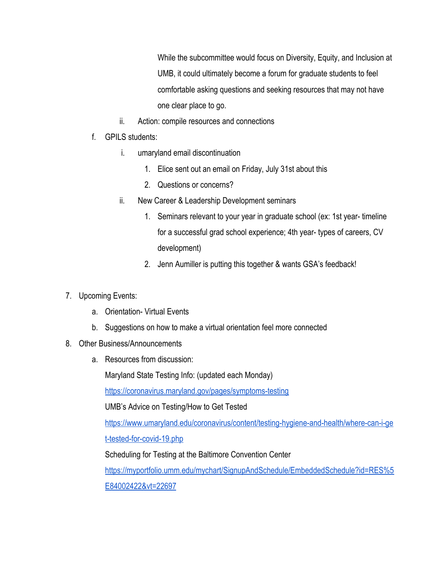While the subcommittee would focus on Diversity, Equity, and Inclusion at UMB, it could ultimately become a forum for graduate students to feel comfortable asking questions and seeking resources that may not have one clear place to go.

- ii. Action: compile resources and connections
- f. GPILS students:
	- i. umaryland email discontinuation
		- 1. Elice sent out an email on Friday, July 31st about this
		- 2. Questions or concerns?
	- ii. New Career & Leadership Development seminars
		- 1. Seminars relevant to your year in graduate school (ex: 1st year- timeline for a successful grad school experience; 4th year- types of careers, CV development)
		- 2. Jenn Aumiller is putting this together & wants GSA's feedback!
- 7. Upcoming Events:
	- a. Orientation- Virtual Events
	- b. Suggestions on how to make a virtual orientation feel more connected
- 8. Other Business/Announcements
	- a. Resources from discussion:

Maryland State Testing Info: (updated each Monday)

<https://coronavirus.maryland.gov/pages/symptoms-testing>

UMB's Advice on Testing/How to Get Tested

[https://www.umaryland.edu/coronavirus/content/testing-hygiene-and-health/where-can-i-ge](https://www.umaryland.edu/coronavirus/content/testing-hygiene-and-health/where-can-i-get-tested-for-covid-19.php) [t-tested-for-covid-19.php](https://www.umaryland.edu/coronavirus/content/testing-hygiene-and-health/where-can-i-get-tested-for-covid-19.php)

Scheduling for Testing at the Baltimore Convention Center

[https://myportfolio.umm.edu/mychart/SignupAndSchedule/EmbeddedSchedule?id=RES%5](https://myportfolio.umm.edu/mychart/SignupAndSchedule/EmbeddedSchedule?id=RES%5E84002422&vt=22697) [E84002422&vt=22697](https://myportfolio.umm.edu/mychart/SignupAndSchedule/EmbeddedSchedule?id=RES%5E84002422&vt=22697)